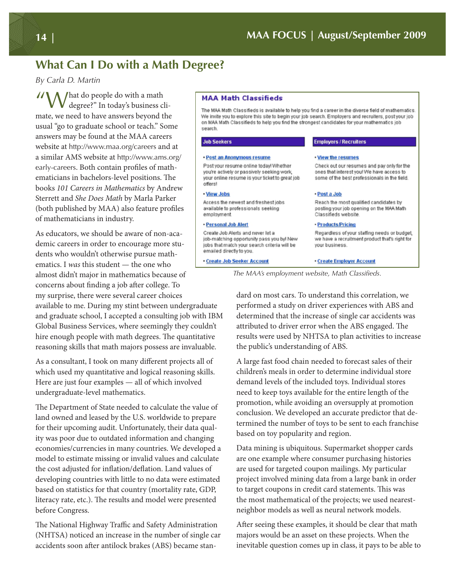# **What Can I Do with a Math Degree?**

*By Carla D. Martin*

"What do people do with a math degree?" In today's business climate, we need to have answers beyond the usual "go to graduate school or teach." Some answers may be found at the MAA careers website at http://www.maa.org/careers and at a similar AMS website at http://www.ams.org/ early-careers. Both contain profles of mathematicians in bachelors-level positions. The books 101 Careers in Mathematics by Andrew Sterrett and She Does Math by Marla Parker (both published by MAA) also feature profles of mathematicians in industry.

As educators, we should be aware of non-academic careers in order to encourage more students who wouldn't otherwise pursue mathematics. I was this student — the one who almost didn't major in mathematics because of concerns about fnding a job afer college. To my surprise, there were several career choices available to me. During my stint between undergraduate and graduate school, I accepted a consulting job with IBM Global Business Services, where seemingly they couldn't hire enough people with math degrees. The quantitative reasoning skills that math majors possess are invaluable.

As a consultant, I took on many diferent projects all of which used my quantitative and logical reasoning skills. Here are just four examples — all of which involved undergraduate-level mathematics.

The Department of State needed to calculate the value of land owned and leased by the U.S. worldwide to prepare for their upcoming audit. Unfortunately, their data quality was poor due to outdated information and changing economies/currencies in many countries. We developed a model to estimate missing or invalid values and calculate the cost adjusted for infation/defation. Land values of developing countries with little to no data were estimated based on statistics for that country (mortality rate, GDP, literacy rate, etc.). The results and model were presented before Congress.

The National Highway Traffic and Safety Administration (NHTSA) noticed an increase in the number of single car accidents soon afer antilock brakes (ABS) became stan-

## **MAA Math Classifieds**

The MAA Math Classifieds is available to help you find a career in the diverse field of mathematics We invite you to explore this site to begin your job search. Employers and recruiters, postyour job on MAA Math Classifieds to help you find the strongest candidates for your mathematics job search.

#### **Job Seekers**

#### · Post an Anonymous resume

Post your resume online today! Whether you're actively or passively seeking work, your online resume is your ticket to great job offers!

#### . View Jobs

Access the newest and freshest jobs available to professionals seeking employment

#### - Personal Job Alert

Create Job Alerts and never let a job-matching opportunity pass you by! New jobs that match your search criteria will be emailed directly to you.

- Create Job Seeker Account

## **Employers / Recruiters**

#### . View the resumes

Check out our resumes and pay only for the ones that interest you! We have access to some of the best professionals in the field.

#### · Post a Job

Reach the most qualified candidates by posting your job opening on the MAA Math Classifieds website.

#### · Products/Pricing

Regardless of your staffing needs or budget, we have a recruitment product that's right for your business.

### **Create Employer Account**

The MAA's employment website, Math Classifieds.

dard on most cars. To understand this correlation, we performed a study on driver experiences with ABS and determined that the increase of single car accidents was attributed to driver error when the ABS engaged. The results were used by NHTSA to plan activities to increase the public's understanding of ABS.

A large fast food chain needed to forecast sales of their children's meals in order to determine individual store demand levels of the included toys. Individual stores need to keep toys available for the entire length of the promotion, while avoiding an oversupply at promotion conclusion. We developed an accurate predictor that determined the number of toys to be sent to each franchise based on toy popularity and region.

Data mining is ubiquitous. Supermarket shopper cards are one example where consumer purchasing histories are used for targeted coupon mailings. My particular project involved mining data from a large bank in order to target coupons in credit card statements. This was the most mathematical of the projects; we used nearestneighbor models as well as neural network models.

Afer seeing these examples, it should be clear that math majors would be an asset on these projects. When the inevitable question comes up in class, it pays to be able to